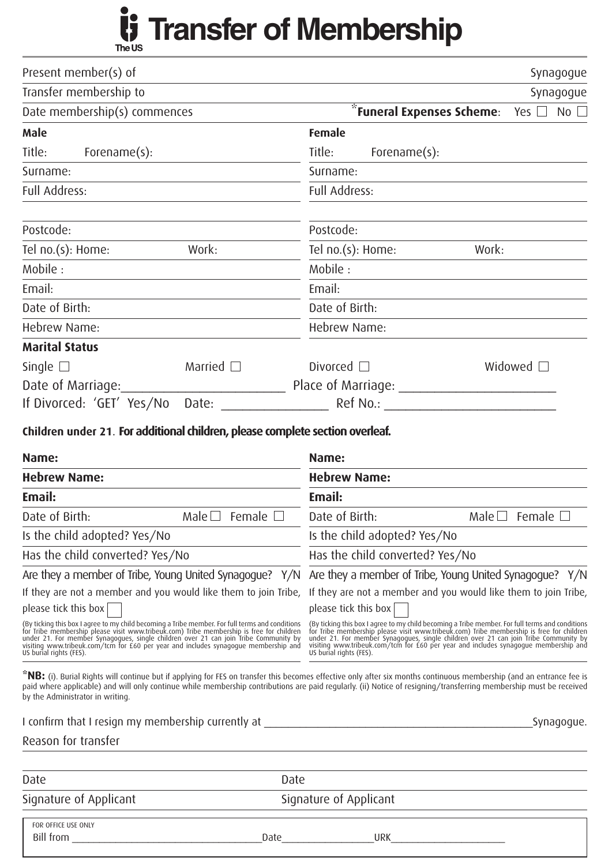## Transfer of Membership **Transfer of Membership**

| Present member(s) of                                                                                                                                                                                                                                      | Synagogue                                                                                                                                                                                                                                                                                                                                        |
|-----------------------------------------------------------------------------------------------------------------------------------------------------------------------------------------------------------------------------------------------------------|--------------------------------------------------------------------------------------------------------------------------------------------------------------------------------------------------------------------------------------------------------------------------------------------------------------------------------------------------|
| Transfer membership to                                                                                                                                                                                                                                    | Synagogue                                                                                                                                                                                                                                                                                                                                        |
| Date membership(s) commences                                                                                                                                                                                                                              | <i>i</i> Funeral Expenses Scheme:<br>Yes $\Box$ No $\Box$                                                                                                                                                                                                                                                                                        |
| <b>Male</b>                                                                                                                                                                                                                                               | <b>Female</b>                                                                                                                                                                                                                                                                                                                                    |
| Title:<br>Forename(s):                                                                                                                                                                                                                                    | Title:<br>Forename(s):                                                                                                                                                                                                                                                                                                                           |
| Surname:                                                                                                                                                                                                                                                  | Surname:                                                                                                                                                                                                                                                                                                                                         |
| Full Address:                                                                                                                                                                                                                                             | Full Address:                                                                                                                                                                                                                                                                                                                                    |
| Postcode:                                                                                                                                                                                                                                                 | Postcode:                                                                                                                                                                                                                                                                                                                                        |
| Work:<br>Tel no.(s): Home:                                                                                                                                                                                                                                | Tel no.(s): Home:<br>Work:                                                                                                                                                                                                                                                                                                                       |
| Mobile:                                                                                                                                                                                                                                                   | Mobile:                                                                                                                                                                                                                                                                                                                                          |
| Email:                                                                                                                                                                                                                                                    | Email:                                                                                                                                                                                                                                                                                                                                           |
| Date of Birth:                                                                                                                                                                                                                                            | Date of Birth:                                                                                                                                                                                                                                                                                                                                   |
| Hebrew Name:                                                                                                                                                                                                                                              | Hebrew Name:                                                                                                                                                                                                                                                                                                                                     |
| <b>Marital Status</b>                                                                                                                                                                                                                                     |                                                                                                                                                                                                                                                                                                                                                  |
| Single $\square$<br>Married $\square$                                                                                                                                                                                                                     | Widowed $\square$<br>Divorced $\square$                                                                                                                                                                                                                                                                                                          |
| Date of Marriage:                                                                                                                                                                                                                                         |                                                                                                                                                                                                                                                                                                                                                  |
| If Divorced: 'GET' Yes/No Date: _______________                                                                                                                                                                                                           | Ref No.: The contract of the contract of the contract of the contract of the contract of the contract of the contract of the contract of the contract of the contract of the contract of the contract of the contract of the c                                                                                                                   |
| Name:<br><b>Hebrew Name:</b>                                                                                                                                                                                                                              | Name:<br><b>Hebrew Name:</b>                                                                                                                                                                                                                                                                                                                     |
| Email:                                                                                                                                                                                                                                                    | Email:                                                                                                                                                                                                                                                                                                                                           |
| Date of Birth:<br>Female<br>Male $\Box$                                                                                                                                                                                                                   | Date of Birth:<br>Male $\square$<br>Female                                                                                                                                                                                                                                                                                                       |
| Is the child adopted? Yes/No                                                                                                                                                                                                                              | Is the child adopted? Yes/No                                                                                                                                                                                                                                                                                                                     |
| Has the child converted? Yes/No                                                                                                                                                                                                                           | Has the child converted? Yes/No                                                                                                                                                                                                                                                                                                                  |
| Are they a member of Tribe, Young United Synagogue? Y/N                                                                                                                                                                                                   | Are they a member of Tribe, Young United Synagogue? Y/N                                                                                                                                                                                                                                                                                          |
| If they are not a member and you would like them to join Tribe,<br>please tick this box $ $                                                                                                                                                               | If they are not a member and you would like them to join Tribe,<br>please tick this box                                                                                                                                                                                                                                                          |
| (By ticking this box I agree to my child becoming a Tribe member. For full terms and conditions for Tribe membership please visit www.tribeuk.com) Tribe membership is free for children under 21. For member Synagogues, sing<br>US burial rights (FES). | (By ticking this box I agree to my child becoming a Tribe member. For full terms and conditions for Tribe membership please visit www.tribeuk.com) Tribe membership is free for children under 21. For member Synagogues, sing<br>visiting www.tribeuk.com/tcm for £60 per year and includes synagogue membership and<br>US burial rights (FES). |
| by the Administrator in writing.                                                                                                                                                                                                                          | *NB: (i). Burial Rights will continue but if applying for FES on transfer this becomes effective only after six months continuous membership (and an entrance fee is<br>paid where applicable) and will only continue while membership contributions are paid regularly. (ii) Notice of resigning/transferring membership must be received       |
|                                                                                                                                                                                                                                                           | Synagogue.                                                                                                                                                                                                                                                                                                                                       |
| Reason for transfer                                                                                                                                                                                                                                       |                                                                                                                                                                                                                                                                                                                                                  |
| Date<br>Date                                                                                                                                                                                                                                              |                                                                                                                                                                                                                                                                                                                                                  |
| Signature of Applicant                                                                                                                                                                                                                                    | Signature of Applicant                                                                                                                                                                                                                                                                                                                           |
| FOR OFFICE USE ONLY                                                                                                                                                                                                                                       |                                                                                                                                                                                                                                                                                                                                                  |
| Bill from<br>Date                                                                                                                                                                                                                                         | <b>URK</b>                                                                                                                                                                                                                                                                                                                                       |